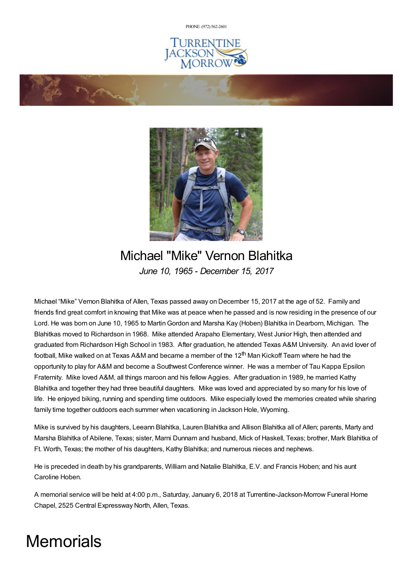PHONE: (972) [562-2601](tel:(972) 562-2601)







## Michael "Mike" Vernon Blahitka *June 10, 1965 - December 15, 2017*

Michael "Mike" Vernon Blahitka of Allen, Texas passed away on December 15, 2017 at the age of 52. Family and friends find great comfort in knowing that Mike was at peace when he passed and is now residing in the presence of our Lord. He was born on June 10, 1965 to Martin Gordon and Marsha Kay (Hoben) Blahitka in Dearborn, Michigan. The Blahitkas moved to Richardson in 1968. Mike attended Arapaho Elementary, West Junior High, then attended and graduated from Richardson High School in 1983. After graduation, he attended Texas A&M University. An avid lover of football, Mike walked on at Texas A&M and became a member of the 12<sup>th</sup> Man Kickoff Team where he had the opportunity to play for A&M and become a Southwest Conference winner. He was a member of Tau Kappa Epsilon Fraternity. Mike loved A&M, all things maroon and his fellow Aggies. After graduation in 1989, he married Kathy Blahitka and together they had three beautiful daughters. Mike was loved and appreciated by so many for his love of life. He enjoyed biking, running and spending time outdoors. Mike especially loved the memories created while sharing family time together outdoors each summer when vacationing in Jackson Hole, Wyoming.

Mike is survived by his daughters, Leeann Blahitka, Lauren Blahitka and Allison Blahitka all of Allen; parents, Marty and Marsha Blahitka of Abilene, Texas; sister, Marni Dunnam and husband, Mick of Haskell, Texas; brother, Mark Blahitka of Ft. Worth, Texas; the mother of his daughters, Kathy Blahitka; and numerous nieces and nephews.

He is preceded in death by his grandparents, William and Natalie Blahitka, E.V. and Francis Hoben; and his aunt Caroline Hoben.

A memorial service will be held at 4:00 p.m., Saturday, January 6, 2018 at Turrentine-Jackson-Morrow Funeral Home Chapel, 2525 Central Expressway North, Allen, Texas.

# **Memorials**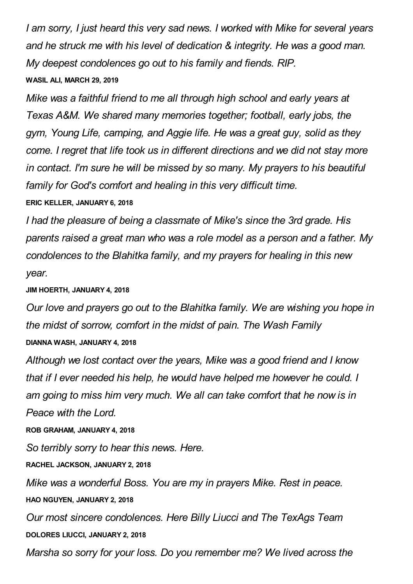*I am sorry, I just heard this very sad news. I worked with Mike for several years and he struck me with his level of dedication & integrity. He was a good man. My deepest condolences go out to his family and fiends. RIP.*

#### **WASIL ALI, MARCH 29, 2019**

*Mike was a faithful friend to me all through high school and early years at Texas A&M. We shared many memories together; football, early jobs, the gym, Young Life, camping, and Aggie life. He was a great guy, solid as they come. I regret that life took us in different directions and we did not stay more in contact. I'm sure he will be missed by so many. My prayers to his beautiful family for God's comfort and healing in this very difficult time.* **ERIC KELLER, JANUARY 6, 2018**

*I had the pleasure of being a classmate of Mike's since the 3rd grade. His parents raised a great man who was a role model as a person and a father. My condolences to the Blahitka family, and my prayers for healing in this new year.*

#### **JIM HOERTH, JANUARY 4, 2018**

*Our love and prayers go out to the Blahitka family. We are wishing you hope in the midst of sorrow, comfort in the midst of pain. The Wash Family* **DIANNA WASH, JANUARY 4, 2018**

*Although we lost contact over the years, Mike was a good friend and I know that if I ever needed his help, he would have helped me however he could. I am going to miss him very much. We all can take comfort that he now is in Peace with the Lord.*

**ROB GRAHAM, JANUARY 4, 2018**

*So terribly sorry to hear this news. Here.*

**RACHEL JACKSON, JANUARY 2, 2018**

*Mike was a wonderful Boss. You are my in prayers Mike. Rest in peace.*

**HAO NGUYEN, JANUARY 2, 2018**

*Our most sincere condolences. Here Billy Liucci and The TexAgs Team* **DOLORES LIUCCI, JANUARY 2, 2018**

*Marsha so sorry for your loss. Do you remember me? We lived across the*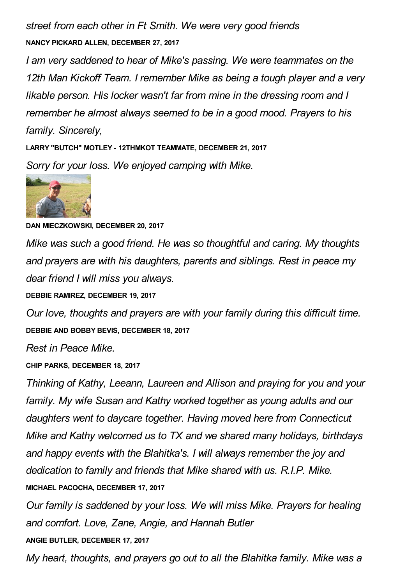*street from each other in Ft Smith. We were very good friends* **NANCY PICKARD ALLEN, DECEMBER 27, 2017**

*I am very saddened to hear of Mike's passing. We were teammates on the 12th Man Kickoff Team. I remember Mike as being a tough player and a very likable person. His locker wasn't far from mine in the dressing room and I remember he almost always seemed to be in a good mood. Prayers to his family. Sincerely,*

**LARRY "BUTCH" MOTLEY - 12THMKOT TEAMMATE, DECEMBER 21, 2017** *Sorry for your loss. We enjoyed camping with Mike.*



**DAN MIECZKOWSKI, DECEMBER 20, 2017**

*Mike was such a good friend. He was so thoughtful and caring. My thoughts and prayers are with his daughters, parents and siblings. Rest in peace my dear friend I will miss you always.*

**DEBBIE RAMIREZ, DECEMBER 19, 2017**

*Our love, thoughts and prayers are with your family during this difficult time.* **DEBBIE AND BOBBY BEVIS, DECEMBER 18, 2017**

*Rest in Peace Mike.*

**CHIP PARKS, DECEMBER 18, 2017**

*Thinking of Kathy, Leeann, Laureen and Allison and praying for you and your family. My wife Susan and Kathy worked together as young adults and our daughters went to daycare together. Having moved here from Connecticut Mike and Kathy welcomed us to TX and we shared many holidays, birthdays and happy events with the Blahitka's. I will always remember the joy and dedication to family and friends that Mike shared with us. R.I.P. Mike.* **MICHAEL PACOCHA, DECEMBER 17, 2017**

*Our family is saddened by your loss. We will miss Mike. Prayers for healing and comfort. Love, Zane, Angie, and Hannah Butler* **ANGIE BUTLER, DECEMBER 17, 2017**

*My heart, thoughts, and prayers go out to all the Blahitka family. Mike was a*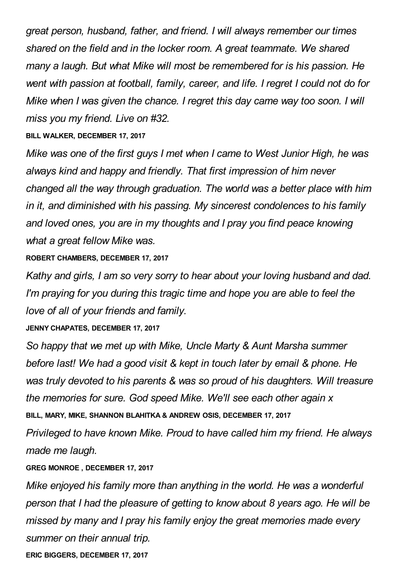*great person, husband, father, and friend. I will always remember our times shared on the field and in the locker room. A great teammate. We shared many a laugh. But what Mike will most be remembered for is his passion. He went with passion at football, family, career, and life. I regret I could not do for Mike when I was given the chance. I regret this day came way too soon. I will miss you my friend. Live on #32.*

**BILL WALKER, DECEMBER 17, 2017**

*Mike was one of the first guys I met when I came to West Junior High, he was always kind and happy and friendly. That first impression of him never changed all the way through graduation. The world was a better place with him in it, and diminished with his passing. My sincerest condolences to his family and loved ones, you are in my thoughts and I pray you find peace knowing what a great fellow Mike was.*

**ROBERT CHAMBERS, DECEMBER 17, 2017**

*Kathy and girls, I am so very sorry to hear about your loving husband and dad. I'm praying for you during this tragic time and hope you are able to feel the love of all of your friends and family.*

**JENNY CHAPATES, DECEMBER 17, 2017**

*So happy that we met up with Mike, Uncle Marty & Aunt Marsha summer before last! We had a good visit & kept in touch later by email & phone. He was truly devoted to his parents & was so proud of his daughters. Will treasure the memories for sure. God speed Mike. We'll see each other again x* **BILL, MARY, MIKE, SHANNON BLAHITKA & ANDREW OSIS, DECEMBER 17, 2017**

*Privileged to have known Mike. Proud to have called him my friend. He always made me laugh.*

**GREG MONROE , DECEMBER 17, 2017**

*Mike enjoyed his family more than anything in the world. He was a wonderful person that I had the pleasure of getting to know about 8 years ago. He will be missed by many and I pray his family enjoy the great memories made every summer on their annual trip.*